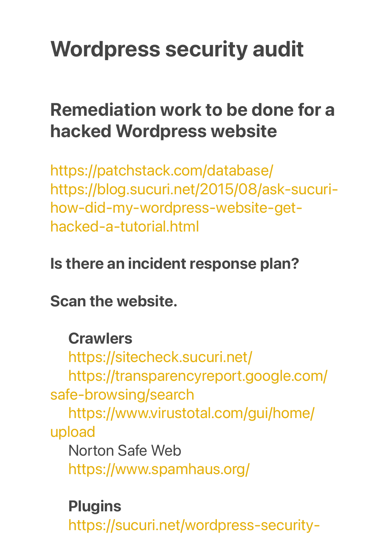# Wordpress security audit

## **Remediation work to be done for a hacked Wordpress website**

<https://patchstack.com/database/> [https://blog.sucuri.net/2015/08/ask-sucuri](https://blog.sucuri.net/2015/08/ask-sucuri-how-did-my-wordpress-website-get-hacked-a-tutorial.html)[how-did-my-wordpress-website-get](https://blog.sucuri.net/2015/08/ask-sucuri-how-did-my-wordpress-website-get-hacked-a-tutorial.html)[hacked-a-tutorial.html](https://blog.sucuri.net/2015/08/ask-sucuri-how-did-my-wordpress-website-get-hacked-a-tutorial.html)

#### Is there an incident response plan?

Scan the website.

#### **Crawlers**

<https://sitecheck.sucuri.net/> [https://transparencyreport.google.com/](https://transparencyreport.google.com/safe-browsing/search) [safe-browsing/search](https://transparencyreport.google.com/safe-browsing/search) [https://www.virustotal.com/gui/home/](https://www.virustotal.com/gui/home/upload) [upload](https://www.virustotal.com/gui/home/upload) Norton Safe Web <https://www.spamhaus.org/>

#### **Plugins**

[https://sucuri.net/wordpress-security-](https://sucuri.net/wordpress-security-plugin/)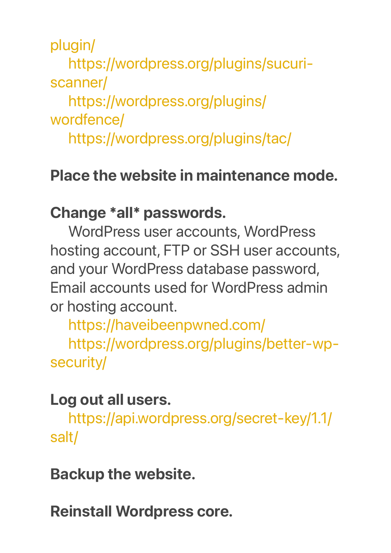[plugin/](https://sucuri.net/wordpress-security-plugin/)

[https://wordpress.org/plugins/sucuri](https://wordpress.org/plugins/sucuri-scanner/)[scanner/](https://wordpress.org/plugins/sucuri-scanner/)

[https://wordpress.org/plugins/](https://wordpress.org/plugins/wordfence/) [wordfence/](https://wordpress.org/plugins/wordfence/)

<https://wordpress.org/plugins/tac/>

#### Place the website in maintenance mode.

#### Change \*all\* passwords.

WordPress user accounts, WordPress hosting account, FTP or SSH user accounts, and your WordPress database password, Email accounts used for WordPress admin or hosting account.

<https://haveibeenpwned.com/> [https://wordpress.org/plugins/better-wp](https://wordpress.org/plugins/better-wp-security/)[security/](https://wordpress.org/plugins/better-wp-security/)

#### Log out all users.

[https://api.wordpress.org/secret-key/1.1/](https://api.wordpress.org/secret-key/1.1/salt/) [salt/](https://api.wordpress.org/secret-key/1.1/salt/)

Backup the website.

Reinstall Wordpress core.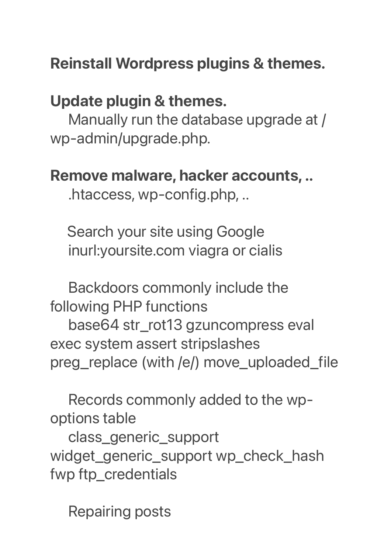### Reinstall Wordpress plugins & themes.

#### Update plugin & themes.

Manually run the database upgrade at / wp-admin/upgrade.php.

#### Remove malware, hacker accounts, ..

.htaccess, wp-config.php, ..

 Search your site using Google inurl:yoursite.com viagra or cialis

Backdoors commonly include the following PHP functions base64 str\_rot13 gzuncompress eval

exec system assert stripslashes preg\_replace (with /e/) move\_uploaded\_file

Records commonly added to the wpoptions table

class\_generic\_support widget\_generic\_support wp\_check\_hash fwp ftp\_credentials

Repairing posts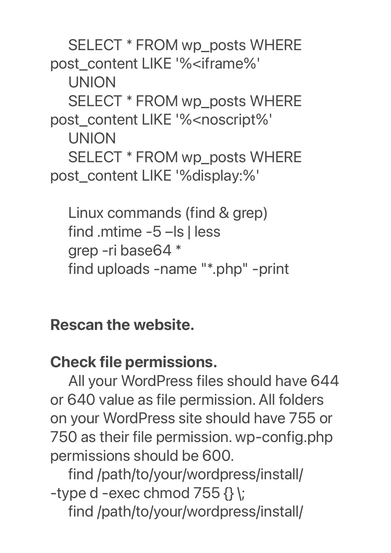SELECT \* FROM wp\_posts WHERE post\_content LIKE '%<iframe%' UNION SELECT \* FROM wp\_posts WHERE post\_content LIKE '%<noscript%' UNION SELECT \* FROM wp\_posts WHERE post\_content LIKE '%display:%'

Linux commands (find & grep) find .mtime -5 –ls | less grep -ri base64 \* find uploads -name "\*.php" -print

Rescan the website.

#### Check file permissions.

All your WordPress files should have 644 or 640 value as file permission. All folders on your WordPress site should have 755 or 750 as their file permission. wp-config.php permissions should be 600.

find /path/to/your/wordpress/install/ -type d -exec chmod  $755 \{ \}$ find /path/to/your/wordpress/install/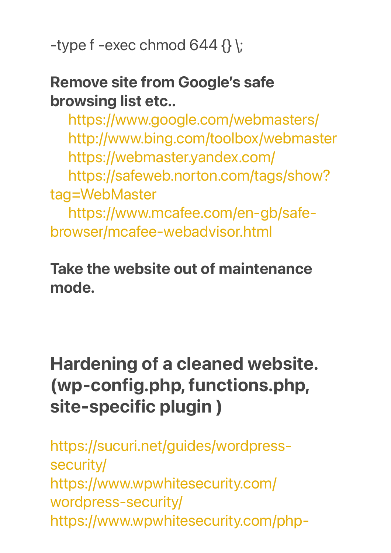-type f -exec chmod  $644 \;$  {} \;

#### Remove site from Google's safe browsing list etc..

<https://www.google.com/webmasters/> <http://www.bing.com/toolbox/webmaster> <https://webmaster.yandex.com/>

[https://safeweb.norton.com/tags/show](https://safeweb.norton.com/tags/show?tag=WebMaster)? [tag=WebMaster](https://safeweb.norton.com/tags/show?tag=WebMaster)

[https://www.mcafee.com/en-gb/safe](https://www.mcafee.com/en-gb/safe-browser/mcafee-webadvisor.html)[browser/mcafee-webadvisor.html](https://www.mcafee.com/en-gb/safe-browser/mcafee-webadvisor.html) 

Take the website out of maintenance mode.

## **Hardening of a cleaned website. (wp-config.php, functions.php, site-specific plugin )**

[https://sucuri.net/guides/wordpress](https://sucuri.net/guides/wordpress-security/)[security/](https://sucuri.net/guides/wordpress-security/) [https://www.wpwhitesecurity.com/](https://www.wpwhitesecurity.com/wordpress-security/) [wordpress-security/](https://www.wpwhitesecurity.com/wordpress-security/) [https://www.wpwhitesecurity.com/php-](https://www.wpwhitesecurity.com/php-hardening-wordpress/)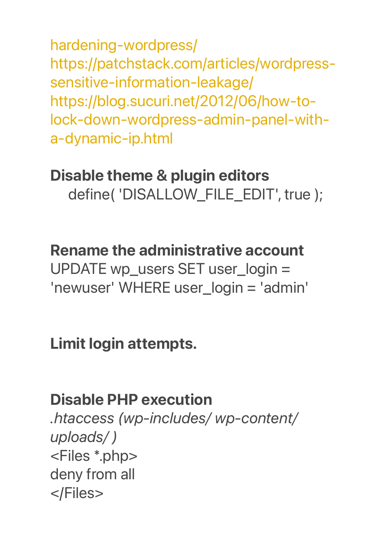[hardening-wordpress/](https://www.wpwhitesecurity.com/php-hardening-wordpress/) [https://patchstack.com/articles/wordpress](https://patchstack.com/articles/wordpress-sensitive-information-leakage/)[sensitive-information-leakage/](https://patchstack.com/articles/wordpress-sensitive-information-leakage/) [https://blog.sucuri.net/2012/06/how-to](https://blog.sucuri.net/2012/06/how-to-lock-down-wordpress-admin-panel-with-a-dynamic-ip.html)[lock-down-wordpress-admin-panel-with](https://blog.sucuri.net/2012/06/how-to-lock-down-wordpress-admin-panel-with-a-dynamic-ip.html)[a-dynamic-ip.html](https://blog.sucuri.net/2012/06/how-to-lock-down-wordpress-admin-panel-with-a-dynamic-ip.html)

### Disable theme & plugin editors define( 'DISALLOW\_FILE\_EDIT', true );

#### Rename the administrative account

UPDATE wp\_users SET user\_login = 'newuser' WHERE user\_login = 'admin'

#### Limit login attempts.

#### Disable PHP execution

*.htaccess (wp-includes/ wp-content/ uploads/ )* <Files \*.php> deny from all </Files>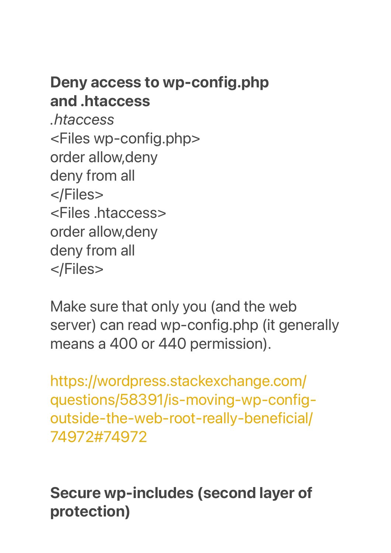#### Deny access to wp-config.php and .htaccess

*.htaccess* <Files wp-config.php> order allow,deny deny from all </Files> <Files .htaccess> order allow,deny deny from all </Files>

Make sure that only you (and the web server) can read wp-config.php (it generally means a 400 or 440 permission).

[https://wordpress.stackexchange.com/](https://wordpress.stackexchange.com/questions/58391/is-moving-wp-config-outside-the-web-root-really-beneficial/74972#74972) [questions/58391/is-moving-wp-config](https://wordpress.stackexchange.com/questions/58391/is-moving-wp-config-outside-the-web-root-really-beneficial/74972#74972)[outside-the-web-root-really-beneficial/](https://wordpress.stackexchange.com/questions/58391/is-moving-wp-config-outside-the-web-root-really-beneficial/74972#74972) [74972#74972](https://wordpress.stackexchange.com/questions/58391/is-moving-wp-config-outside-the-web-root-really-beneficial/74972#74972)

Secure wp-includes (second layer of protection)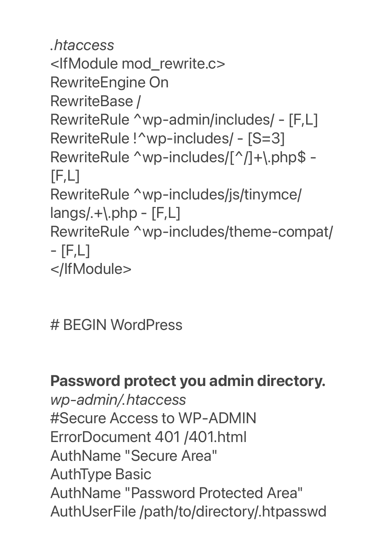```
.htaccess
<IfModule mod_rewrite.c>
RewriteEngine On
RewriteBase /
RewriteRule ^wp-admin/includes/ - [F,L]
RewriteRule !^wp-includes/ - [S=3]
RewriteRule ^wp-includes/[^/]+\.php$ - 
[F,L]RewriteRule ^wp-includes/js/tinymce/
langs/.+).php - [F,L]RewriteRule ^wp-includes/theme-compat/ 
- [F,L]
</IfModule>
```
# BEGIN WordPress

#### Password protect you admin directory.

*wp-admin/.htaccess* #Secure Access to WP-ADMIN ErrorDocument 401 /401.html AuthName "Secure Area" AuthType Basic AuthName "Password Protected Area" AuthUserFile /path/to/directory/.htpasswd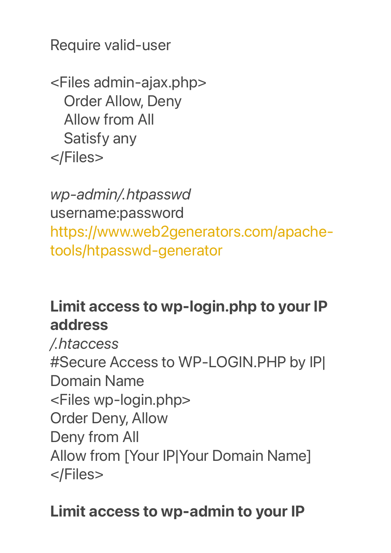Require valid-user

<Files admin-ajax.php> Order Allow, Deny Allow from All Satisfy any </Files>

*wp-admin/.htpasswd* username:password [https://www.web2generators.com/apache](https://www.web2generators.com/apache-tools/htpasswd-generator)[tools/htpasswd-generator](https://www.web2generators.com/apache-tools/htpasswd-generator)

### Limit access to wp-login.php to your IP address

*/.htaccess* #Secure Access to WP-LOGIN.PHP by IP| Domain Name <Files wp-login.php> Order Deny, Allow Deny from All Allow from [Your IP|Your Domain Name] </Files>

### Limit access to wp-admin to your IP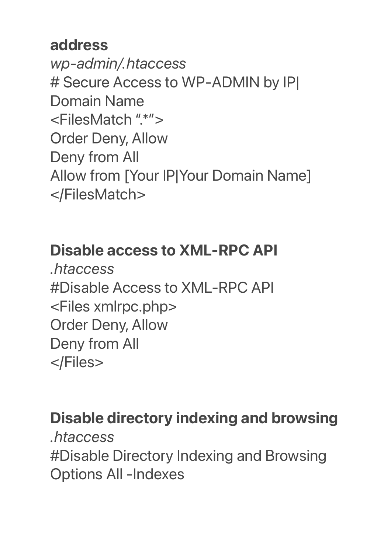#### address

*wp-admin/.htaccess* # Secure Access to WP-ADMIN by IP| Domain Name <FilesMatch ".\*"> Order Deny, Allow Deny from All Allow from [Your IP|Your Domain Name] </FilesMatch>

#### Disable access to XML-RPC API

*.htaccess* #Disable Access to XML-RPC API <Files xmlrpc.php> Order Deny, Allow Deny from All </Files>

### Disable directory indexing and browsing

*.htaccess* #Disable Directory Indexing and Browsing Options All -Indexes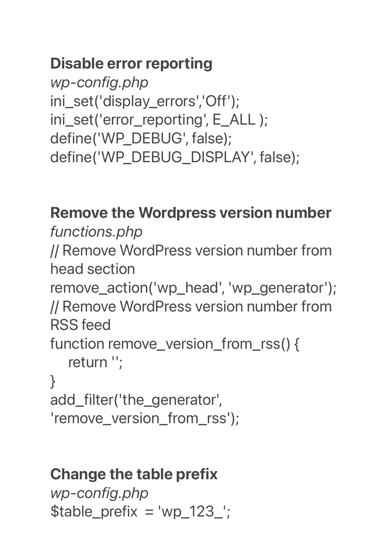## Disable error reporting

*wp-config.php* ini\_set('display\_errors','Off'); ini\_set('error\_reporting', E\_ALL ); define('WP\_DEBUG', false); define('WP\_DEBUG\_DISPLAY', false);

### Remove the Wordpress version number

*functions.php* // Remove WordPress version number from head section remove\_action('wp\_head', 'wp\_generator'); // Remove WordPress version number from RSS feed function remove version from rss() { return ''; } add\_filter('the\_generator', 'remove\_version\_from\_rss');

#### Change the table prefix

*wp-config.php*  $$table\_prefix = 'wp_123'_$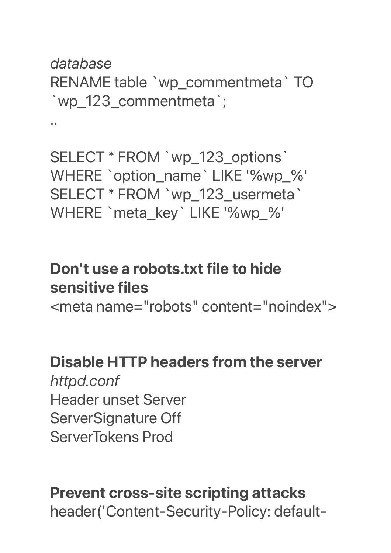### *database* RENAME table `wp\_commentmeta` TO `wp\_123\_commentmeta`;

..

SELECT \* FROM `wp\_123\_options` WHERE `option\_name` LIKE '%wp\_%' SELECT \* FROM `wp\_123\_usermeta` WHERE `meta\_key` LIKE '%wp\_%'

## Don't use a robots.txt file to hide sensitive files

<meta name="robots" content="noindex">

#### Disable HTTP headers from the server *httpd.conf* Header unset Server ServerSignature Off ServerTokens Prod

## Prevent cross-site scripting attacks header('Content-Security-Policy: default-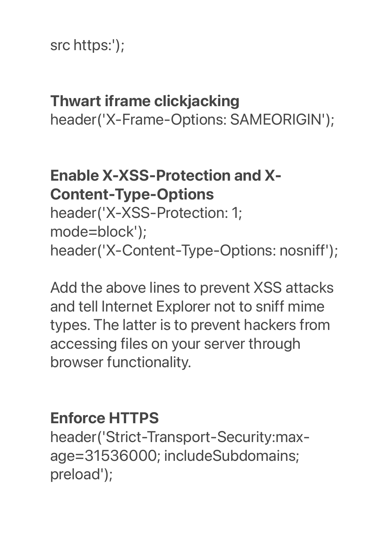#### src https:');

## Thwart iframe clickjacking

header('X-Frame-Options: SAMEORIGIN');

## Enable X-XSS-Protection and X-Content-Type-Options

header('X-XSS-Protection: 1; mode=block'); header('X-Content-Type-Options: nosniff');

Add the above lines to prevent XSS attacks and tell Internet Explorer not to sniff mime types. The latter is to prevent hackers from accessing files on your server through browser functionality.

### Enforce HTTPS

header('Strict-Transport-Security:maxage=31536000; includeSubdomains; preload');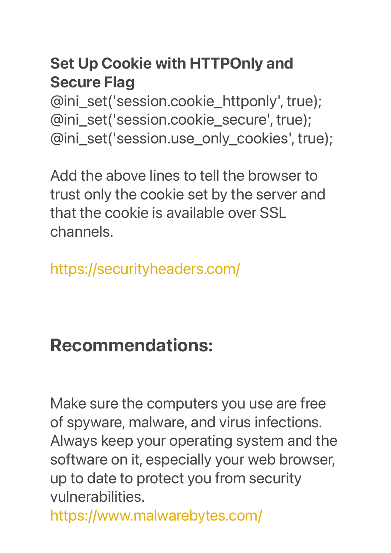## Set Up Cookie with HTTPOnly and Secure Flag

@ini\_set('session.cookie\_httponly', true); @ini\_set('session.cookie\_secure', true); @ini\_set('session.use\_only\_cookies', true);

Add the above lines to tell the browser to trust only the cookie set by the server and that the cookie is available over SSL channels.

<https://securityheaders.com/>

## **Recommendations:**

Make sure the computers you use are free of spyware, malware, and virus infections. Always keep your operating system and the software on it, especially your web browser, up to date to protect you from security vulnerabilities.

<https://www.malwarebytes.com/>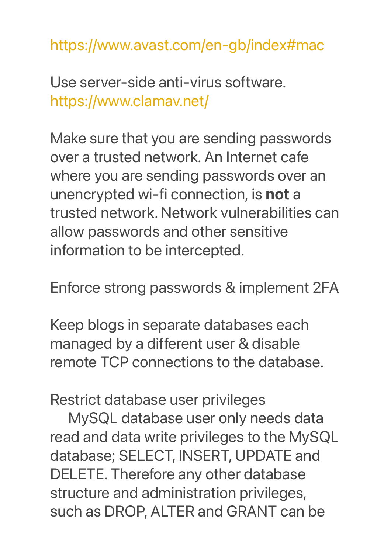<https://www.avast.com/en-gb/index#mac>

Use server-side anti-virus software. <https://www.clamav.net/>

Make sure that you are sending passwords over a trusted network. An Internet cafe where you are sending passwords over an unencrypted wi-fi connection, is not a trusted network. Network vulnerabilities can allow passwords and other sensitive information to be intercepted.

Enforce strong passwords & implement 2FA

Keep blogs in separate databases each managed by a different user & disable remote TCP connections to the database.

Restrict database user privileges

MySQL database user only needs data read and data write privileges to the MySQL database; SELECT, INSERT, UPDATE and DELETE. Therefore any other database structure and administration privileges, such as DROP, ALTER and GRANT can be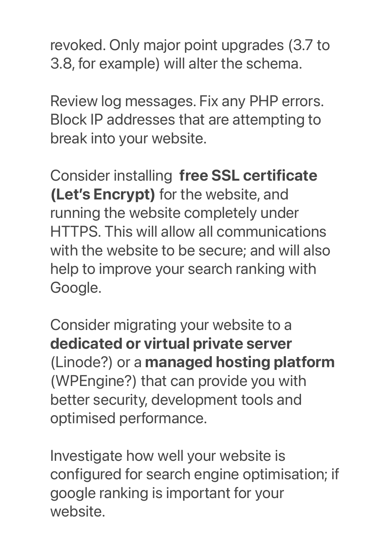revoked. Only major point upgrades (3.7 to 3.8, for example) will alter the schema.

Review log messages. Fix any PHP errors. Block IP addresses that are attempting to break into your website.

Consider installing free SSL certificate (Let's Encrypt) for the website, and running the website completely under HTTPS. This will allow all communications with the website to be secure; and will also help to improve your search ranking with Google.

Consider migrating your website to a dedicated or virtual private server (Linode?) or a managed hosting platform (WPEngine?) that can provide you with better security, development tools and optimised performance.

Investigate how well your website is configured for search engine optimisation; if google ranking is important for your website.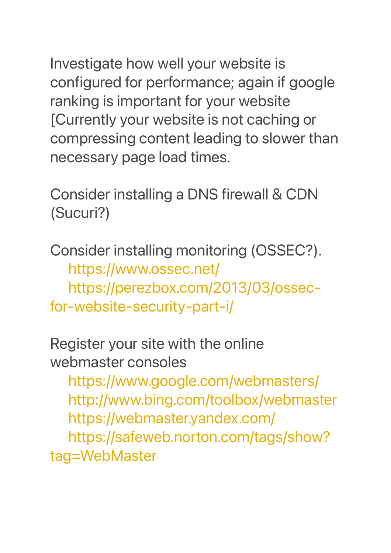Investigate how well your website is configured for performance; again if google ranking is important for your website [Currently your website is not caching or compressing content leading to slower than necessary page load times.

Consider installing a DNS firewall & CDN (Sucuri?)

Consider installing monitoring (OSSEC?). <https://www.ossec.net/> [https://perezbox.com/2013/03/ossec](https://perezbox.com/2013/03/ossec-for-website-security-part-i/)[for-website-security-part-i/](https://perezbox.com/2013/03/ossec-for-website-security-part-i/)

Register your site with the online webmaster consoles

<https://www.google.com/webmasters/> <http://www.bing.com/toolbox/webmaster> <https://webmaster.yandex.com/> [https://safeweb.norton.com/tags/show](https://safeweb.norton.com/tags/show?tag=WebMaster)? [tag=WebMaster](https://safeweb.norton.com/tags/show?tag=WebMaster)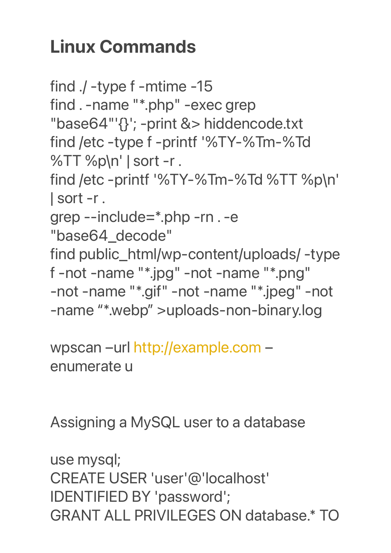## **Linux Commands**

find ./ -type f -mtime -15 find . -name "\*.php" -exec grep "base64"'{}'; -print &> hiddencode.txt find /etc -type f -printf '%TY-%Tm-%Td %TT %p\n' | sort -r . find /etc -printf '%TY-%Tm-%Td %TT %p\n' | sort -r . grep --include=\*.php -rn . -e "base64\_decode" find public\_html/wp-content/uploads/ -type f -not -name "\*.jpg" -not -name "\*.png" -not -name "\*.gif" -not -name "\*.jpeg" -not -name "\*.webp" >uploads-non-binary.log

wpscan –url [http://example.com](http://example.com/) – enumerate u

Assigning a MySQL user to a database

use mysql; CREATE USER 'user'@'localhost' IDENTIFIED BY 'password'; GRANT ALL PRIVILEGES ON database.\* TO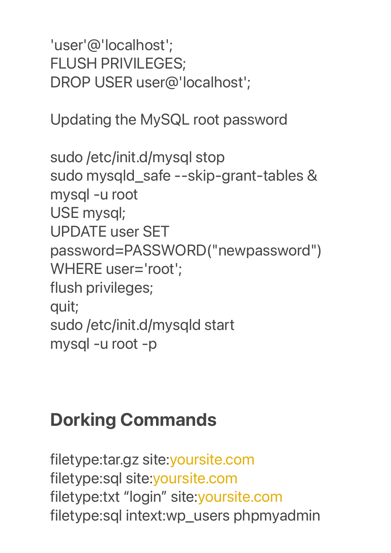'user'@'localhost'; FLUSH PRIVILEGES; DROP USER user@'localhost';

Updating the MySQL root password

sudo /etc/init.d/mysql stop sudo mysqld\_safe --skip-grant-tables & mysql -u root USE mysql; UPDATE user SET password=PASSWORD("newpassword") WHERE user='root'; flush privileges; quit; sudo /etc/init.d/mysqld start mysql -u root -p

## **Dorking Commands**

filetype:tar.gz site[:yoursite.com](http://yoursite.com) filetype:sql site:[yoursite.com](http://yoursite.com) filetype:txt "login" site[:yoursite.com](http://yoursite.com) filetype:sql intext:wp\_users phpmyadmin